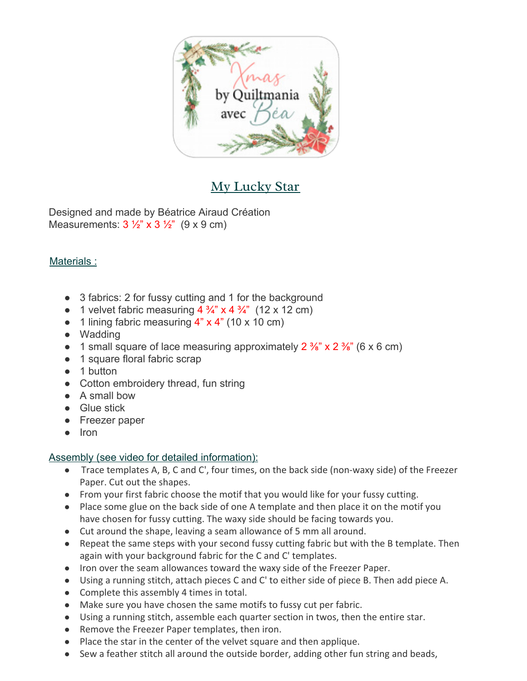

## My Lucky Star

Designed and made by Béatrice Airaud Création Measurements:  $3\frac{1}{2}$  x  $3\frac{1}{2}$  (9 x 9 cm)

## Materials :

- 3 fabrics: 2 for fussy cutting and 1 for the background
- 1 velvet fabric measuring  $4\frac{3}{4}$  x  $4\frac{3}{4}$  (12 x 12 cm)
- $\bullet$  1 lining fabric measuring 4" x 4" (10 x 10 cm)
- Wadding
- 1 small square of lace measuring approximately  $2\frac{3}{8}$  x  $2\frac{3}{8}$  (6 x 6 cm)
- 1 square floral fabric scrap
- 1 button
- Cotton embroidery thread, fun string
- A small bow
- Glue stick
- Freezer paper
- Iron

## Assembly (see video for detailed information):

- Trace templates A, B, C and C', four times, on the back side (non-waxy side) of the Freezer Paper. Cut out the shapes.
- From your first fabric choose the motif that you would like for your fussy cutting.
- Place some glue on the back side of one A template and then place it on the motif you have chosen for fussy cutting. The waxy side should be facing towards you.
- Cut around the shape, leaving a seam allowance of 5 mm all around.
- Repeat the same steps with your second fussy cutting fabric but with the B template. Then again with your background fabric for the C and C' templates.
- Iron over the seam allowances toward the waxy side of the Freezer Paper.
- Using a running stitch, attach pieces C and C' to either side of piece B. Then add piece A.
- Complete this assembly 4 times in total.
- Make sure you have chosen the same motifs to fussy cut per fabric.
- Using a running stitch, assemble each quarter section in twos, then the entire star.
- Remove the Freezer Paper templates, then iron.
- Place the star in the center of the velvet square and then applique.
- Sew a feather stitch all around the outside border, adding other fun string and beads,